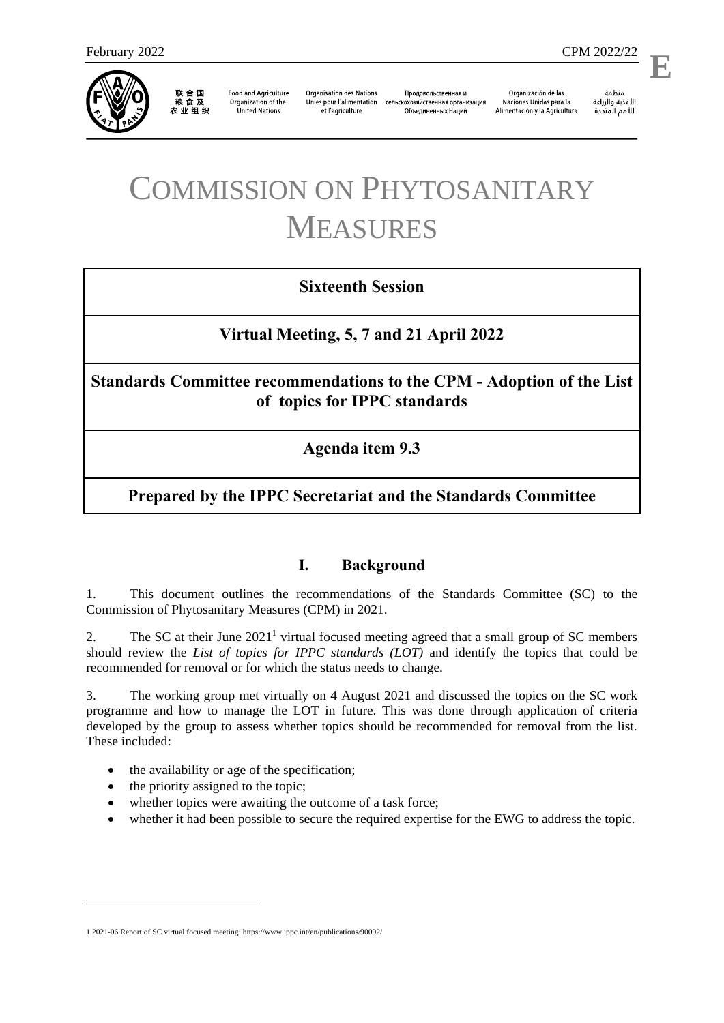

联合国<br>粮食及 农业组织

**Food and Agriculture** Organization of the **United Nations** 

**Organisation des Nations** Unies pour l'alimentation et l'agriculture

Продовольственная и сельскохозяйственная организация Объелиненных Наций

Organización de las Naciones Unidas para la Alimentación y la Agricultura

منظمة الأغذية والزراعة للأمم المتحدة

l,

**E**

# COMMISSION ON PHYTOSANITARY MEASURES

# **Sixteenth Session**

# **Virtual Meeting, 5, 7 and 21 April 2022**

**Standards Committee recommendations to the CPM - Adoption of the List of topics for IPPC standards**

**Agenda item 9.3**

# **Prepared by the IPPC Secretariat and the Standards Committee**

#### <span id="page-0-0"></span>**I. Background**

1. This document outlines the recommendations of the Standards Committee (SC) to the Commission of Phytosanitary Measures (CPM) in 2021.

2. The SC at their June  $2021<sup>1</sup>$  virtual focused meeting agreed that a small group of SC members should review the *List of topics for IPPC standards (LOT)* and identify the topics that could be recommended for removal or for which the status needs to change.

3. The working group met virtually on 4 August 2021 and discussed the topics on the SC work programme and how to manage the LOT in future. This was done through application of criteria developed by the group to assess whether topics should be recommended for removal from the list. These included:

- the availability or age of the specification;
- $\bullet$  the priority assigned to the topic;

1

- whether topics were awaiting the outcome of a task force;
- whether it had been possible to secure the required expertise for the EWG to address the topic.

<sup>1</sup> 2021-06 Report of SC virtual focused meeting[: https://www.ippc.int/en/publications/90092/](https://www.ippc.int/en/publications/90092/)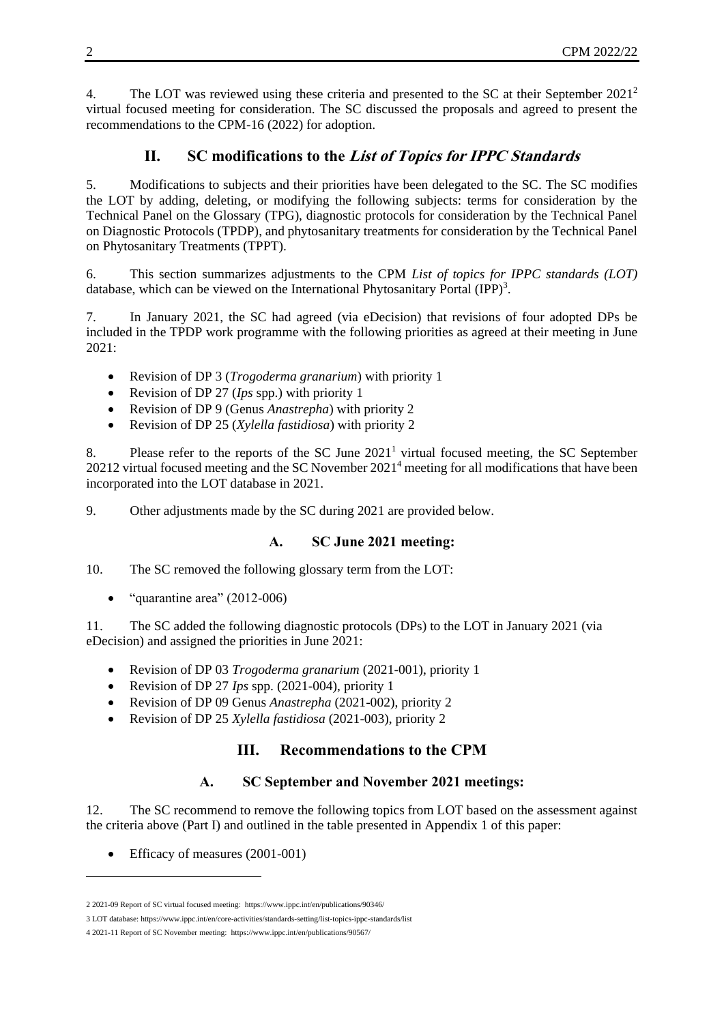4. The LOT was reviewed using these criteria and presented to the SC at their September 2021<sup>2</sup> virtual focused meeting for consideration. The SC discussed the proposals and agreed to present the recommendations to the CPM-16 (2022) for adoption.

## <span id="page-1-0"></span>**II. SC modifications to the List of Topics for IPPC Standards**

5. Modifications to subjects and their priorities have been delegated to the SC. The SC modifies the LOT by adding, deleting, or modifying the following subjects: terms for consideration by the Technical Panel on the Glossary (TPG), diagnostic protocols for consideration by the Technical Panel on Diagnostic Protocols (TPDP), and phytosanitary treatments for consideration by the Technical Panel on Phytosanitary Treatments (TPPT).

6. This section summarizes adjustments to the CPM *List of topics for IPPC standards (LOT)* database, which can be viewed on the International Phytosanitary Portal  $(IPP)^3$ .

7. In January 2021, the SC had agreed (via eDecision) that revisions of four adopted DPs be included in the TPDP work programme with the following priorities as agreed at their meeting in June 2021:

- Revision of DP 3 (*Trogoderma granarium*) with priority 1
- Revision of DP 27 (*Ips* spp.) with priority 1
- Revision of DP 9 (Genus *Anastrepha*) with priority 2
- Revision of DP 25 (*Xylella fastidiosa*) with priority 2

8. Please refer to the reports of the SC June  $2021<sup>1</sup>$  $2021<sup>1</sup>$  $2021<sup>1</sup>$  virtual focused meeting, the SC September 202[12](#page-1-0) virtual focused meeting and the SC November 2021<sup>4</sup> meeting for all modifications that have been incorporated into the LOT database in 2021.

9. Other adjustments made by the SC during 2021 are provided below.

#### **A. SC June 2021 meeting:**

10. The SC removed the following glossary term from the LOT:

 $\bullet$  "quarantine area" (2012-006)

11. The SC added the following diagnostic protocols (DPs) to the LOT in January 2021 (via eDecision) and assigned the priorities in June 2021:

- Revision of DP 03 *Trogoderma granarium* (2021-001), priority 1
- Revision of DP 27 *Ips* spp. (2021-004), priority 1
- Revision of DP 09 Genus *Anastrepha* (2021-002), priority 2
- Revision of DP 25 *Xylella fastidiosa* (2021-003), priority 2

# **III. Recommendations to the CPM**

#### **A. SC September and November 2021 meetings:**

12. The SC recommend to remove the following topics from LOT based on the assessment against the criteria above (Part I) and outlined in the table presented in Appendix 1 of this paper:

• Efficacy of measures (2001-001)

1

<sup>2</sup> 2021-09 Report of SC virtual focused meeting:<https://www.ippc.int/en/publications/90346/>

<sup>3</sup> LOT database[: https://www.ippc.int/en/core-activities/standards-setting/list-topics-ippc-standards/list](https://www.ippc.int/en/core-activities/standards-setting/list-topics-ippc-standards/list)

<sup>4</sup> 2021-11 Report of SC November meeting:<https://www.ippc.int/en/publications/90567/>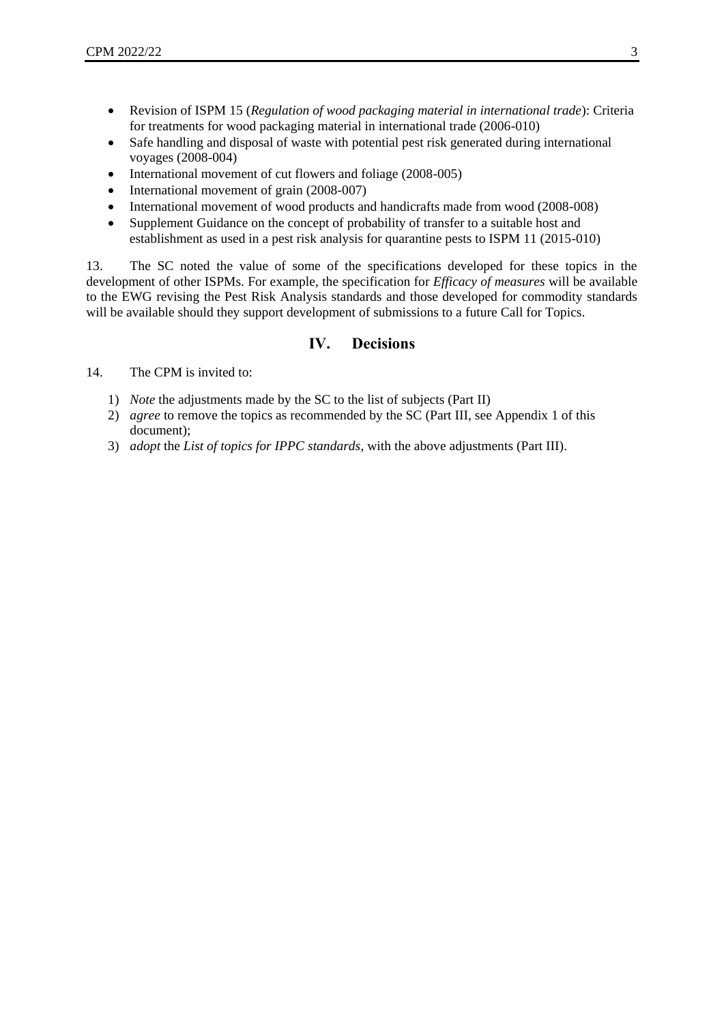- Revision of ISPM 15 (*Regulation of wood packaging material in international trade*): Criteria for treatments for wood packaging material in international trade (2006-010)
- Safe handling and disposal of waste with potential pest risk generated during international voyages (2008-004)
- International movement of cut flowers and foliage (2008-005)
- International movement of grain (2008-007)
- International movement of wood products and handicrafts made from wood (2008-008)
- Supplement Guidance on the concept of probability of transfer to a suitable host and establishment as used in a pest risk analysis for quarantine pests to ISPM 11 (2015-010)

13. The SC noted the value of some of the specifications developed for these topics in the development of other ISPMs. For example, the specification for *Efficacy of measures* will be available to the EWG revising the Pest Risk Analysis standards and those developed for commodity standards will be available should they support development of submissions to a future Call for Topics.

#### **IV. Decisions**

- 14. The CPM is invited to:
	- 1) *Note* the adjustments made by the SC to the list of subjects (Part II)
	- 2) *agree* to remove the topics as recommended by the SC (Part III, see Appendix 1 of this document);
	- 3) *adopt* the *List of topics for IPPC standards*, with the above adjustments (Part III).